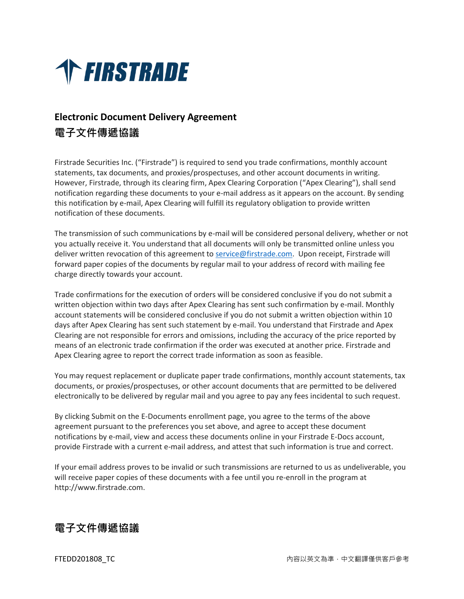

## **Electronic Document Delivery Agreement 電子文件傳遞協議**

Firstrade Securities Inc. ("Firstrade") is required to send you trade confirmations, monthly account statements, tax documents, and proxies/prospectuses, and other account documents in writing. However, Firstrade, through its clearing firm, Apex Clearing Corporation ("Apex Clearing"), shall send notification regarding these documents to your e-mail address as it appears on the account. By sending this notification by e-mail, Apex Clearing will fulfill its regulatory obligation to provide written notification of these documents.

The transmission of such communications by e-mail will be considered personal delivery, whether or not you actually receive it. You understand that all documents will only be transmitted online unless you deliver written revocation of this agreement t[o service@firstrade.com.](mailto:service@firstrade.com) Upon receipt, Firstrade will forward paper copies of the documents by regular mail to your address of record with mailing fee charge directly towards your account.

Trade confirmations for the execution of orders will be considered conclusive if you do not submit a written objection within two days after Apex Clearing has sent such confirmation by e-mail. Monthly account statements will be considered conclusive if you do not submit a written objection within 10 days after Apex Clearing has sent such statement by e-mail. You understand that Firstrade and Apex Clearing are not responsible for errors and omissions, including the accuracy of the price reported by means of an electronic trade confirmation if the order was executed at another price. Firstrade and Apex Clearing agree to report the correct trade information as soon as feasible.

You may request replacement or duplicate paper trade confirmations, monthly account statements, tax documents, or proxies/prospectuses, or other account documents that are permitted to be delivered electronically to be delivered by regular mail and you agree to pay any fees incidental to such request.

By clicking Submit on the E-Documents enrollment page, you agree to the terms of the above agreement pursuant to the preferences you set above, and agree to accept these document notifications by e-mail, view and access these documents online in your Firstrade E-Docs account, provide Firstrade with a current e-mail address, and attest that such information is true and correct.

If your email address proves to be invalid or such transmissions are returned to us as undeliverable, you will receive paper copies of these documents with a fee until you re-enroll in the program at http://www.firstrade.com.

## **電子文件傳遞協議**